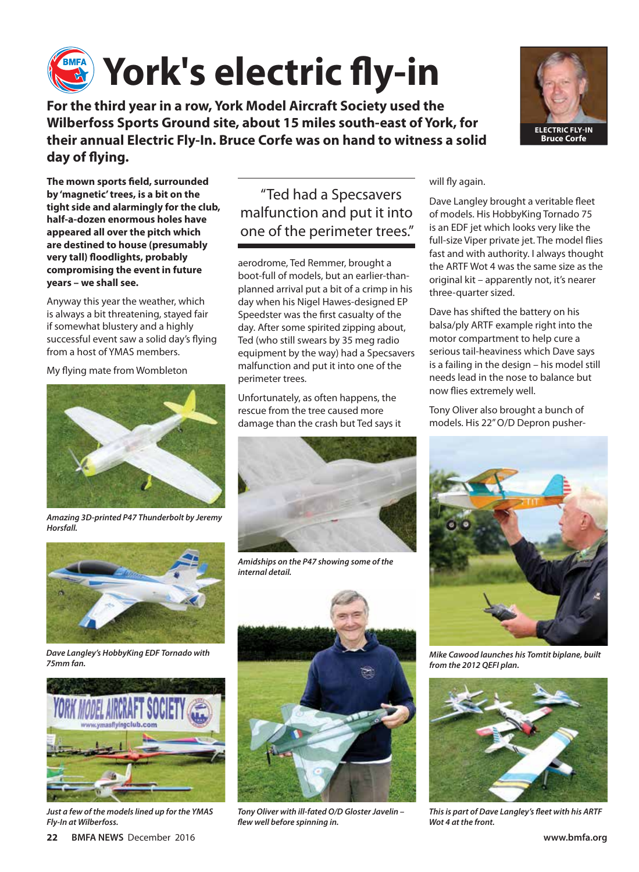

**For the third year in a row, York Model Aircraft Society used the Wilberfoss Sports Ground site, about 15 miles south-east of York, for their annual Electric Fly-In. Bruce Corfe was on hand to witness a solid day of flying.**



Anyway this year the weather, which is always a bit threatening, stayed fair if somewhat blustery and a highly successful event saw a solid day's flying from a host of YMAS members.

My flying mate from Wombleton



*Amazing 3D-printed P47 Thunderbolt by Jeremy Horsfall.*



*Dave Langley's HobbyKing EDF Tornado with 75mm fan.*



*Just a few of the models lined up for the YMAS Fly-In at Wilberfoss.*

## "Ted had a Specsavers malfunction and put it into one of the perimeter trees."

aerodrome, Ted Remmer, brought a boot-full of models, but an earlier-thanplanned arrival put a bit of a crimp in his day when his Nigel Hawes-designed EP Speedster was the first casualty of the day. After some spirited zipping about, Ted (who still swears by 35 meg radio equipment by the way) had a Specsavers malfunction and put it into one of the perimeter trees.

Unfortunately, as often happens, the rescue from the tree caused more damage than the crash but Ted says it



*Amidships on the P47 showing some of the internal detail.*



*Tony Oliver with ill-fated O/D Gloster Javelin – flew well before spinning in.*



#### will fly again.

Dave Langley brought a veritable fleet of models. His HobbyKing Tornado 75 is an EDF jet which looks very like the full-size Viper private jet. The model flies fast and with authority. I always thought the ARTF Wot 4 was the same size as the original kit – apparently not, it's nearer three-quarter sized.

Dave has shifted the battery on his balsa/ply ARTF example right into the motor compartment to help cure a serious tail-heaviness which Dave says is a failing in the design – his model still needs lead in the nose to balance but now flies extremely well.

Tony Oliver also brought a bunch of models. His 22" O/D Depron pusher-



*Mike Cawood launches his Tomtit biplane, built from the 2012 QEFI plan.*



*This is part of Dave Langley's fleet with his ARTF Wot 4 at the front.*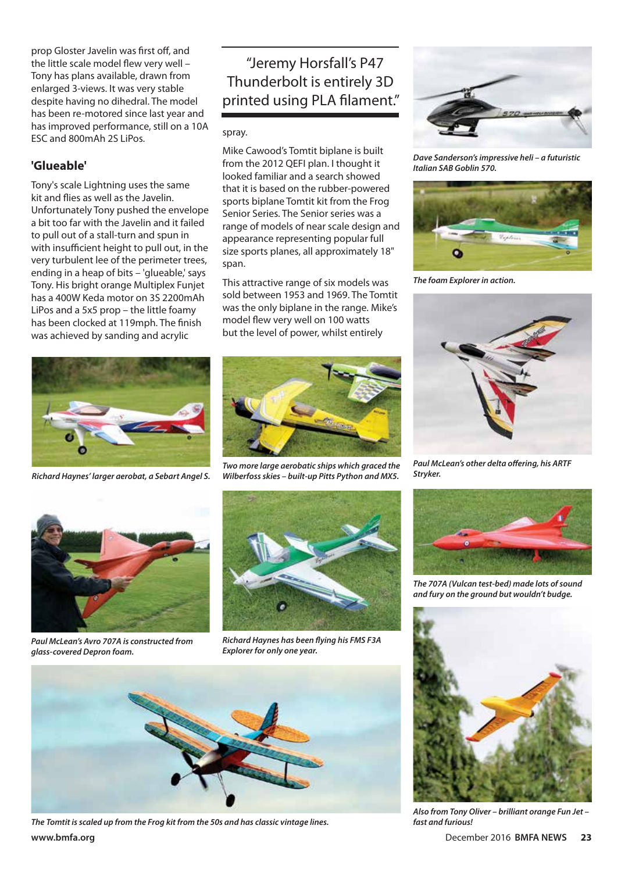prop Gloster Javelin was first off, and the little scale model flew very well – Tony has plans available, drawn from enlarged 3-views. It was very stable despite having no dihedral. The model has been re-motored since last year and has improved performance, still on a 10A ESC and 800mAh 2S LiPos.

## **'Glueable'**

Tony's scale Lightning uses the same kit and flies as well as the Javelin. Unfortunately Tony pushed the envelope a bit too far with the Javelin and it failed to pull out of a stall-turn and spun in with insufficient height to pull out, in the very turbulent lee of the perimeter trees, ending in a heap of bits – 'glueable,' says Tony. His bright orange Multiplex Funjet has a 400W Keda motor on 3S 2200mAh LiPos and a 5x5 prop – the little foamy has been clocked at 119mph. The finish was achieved by sanding and acrylic



*Richard Haynes' larger aerobat, a Sebart Angel S.*

# "Jeremy Horsfall's P47 Thunderbolt is entirely 3D printed using PLA filament."

spray.

Mike Cawood's Tomtit biplane is built from the 2012 QEFI plan. I thought it looked familiar and a search showed that it is based on the rubber-powered sports biplane Tomtit kit from the Frog Senior Series. The Senior series was a range of models of near scale design and appearance representing popular full size sports planes, all approximately 18" span.

This attractive range of six models was sold between 1953 and 1969. The Tomtit was the only biplane in the range. Mike's model flew very well on 100 watts but the level of power, whilst entirely



*Two more large aerobatic ships which graced the Wilberfoss skies – built-up Pitts Python and MX5.*



*Paul McLean's Avro 707A is constructed from glass-covered Depron foam.*



*Richard Haynes has been flying his FMS F3A Explorer for only one year.*



**www.bmfa.org** December 2016 **BMFA NEWS 23** *The Tomtit is scaled up from the Frog kit from the 50s and has classic vintage lines.*



*Dave Sanderson's impressive heli – a futuristic Italian SAB Goblin 570.*



*The foam Explorer in action.*



*Paul McLean's other delta offering, his ARTF Stryker.*



*The 707A (Vulcan test-bed) made lots of sound and fury on the ground but wouldn't budge.*



*Also from Tony Oliver – brilliant orange Fun Jet – fast and furious!*